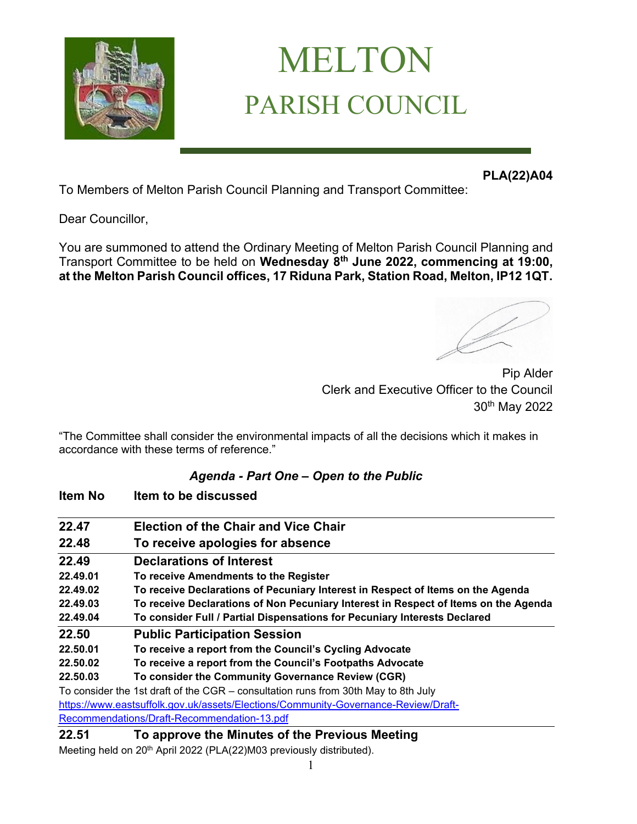

# MELTON PARISH COUNCIL

**PLA(22)A04**

To Members of Melton Parish Council Planning and Transport Committee:

Dear Councillor,

You are summoned to attend the Ordinary Meeting of Melton Parish Council Planning and Transport Committee to be held on **Wednesday 8 th June 2022, commencing at 19:00, at the Melton Parish Council offices, 17 Riduna Park, Station Road, Melton, IP12 1QT.** 

Pip Alder Clerk and Executive Officer to the Council 30th May 2022

"The Committee shall consider the environmental impacts of all the decisions which it makes in accordance with these terms of reference."

#### *Agenda - Part One – Open to the Public*

| Item No  | Item to be discussed                                                                |
|----------|-------------------------------------------------------------------------------------|
| 22.47    | <b>Election of the Chair and Vice Chair</b>                                         |
| 22.48    | To receive apologies for absence                                                    |
| 22.49    | <b>Declarations of Interest</b>                                                     |
| 22.49.01 | To receive Amendments to the Register                                               |
| 22.49.02 | To receive Declarations of Pecuniary Interest in Respect of Items on the Agenda     |
| 22.49.03 | To receive Declarations of Non Pecuniary Interest in Respect of Items on the Agenda |
| 22.49.04 | To consider Full / Partial Dispensations for Pecuniary Interests Declared           |
| 22.50    | <b>Public Participation Session</b>                                                 |
| 22.50.01 | To receive a report from the Council's Cycling Advocate                             |
| 22,50,02 | To receive a report from the Council's Footpaths Advocate                           |
| 22.50.03 | To consider the Community Governance Review (CGR)                                   |
|          | To consider the 1st draft of the CGR - consultation runs from 30th May to 8th July  |
|          | https://www.eastsuffolk.gov.uk/assets/Elections/Community-Governance-Review/Draft-  |
|          | Recommendations/Draft-Recommendation-13.pdf                                         |
| 22.51    | To approve the Minutes of the Previous Meeting                                      |

Meeting held on 20<sup>th</sup> April 2022 (PLA(22)M03 previously distributed).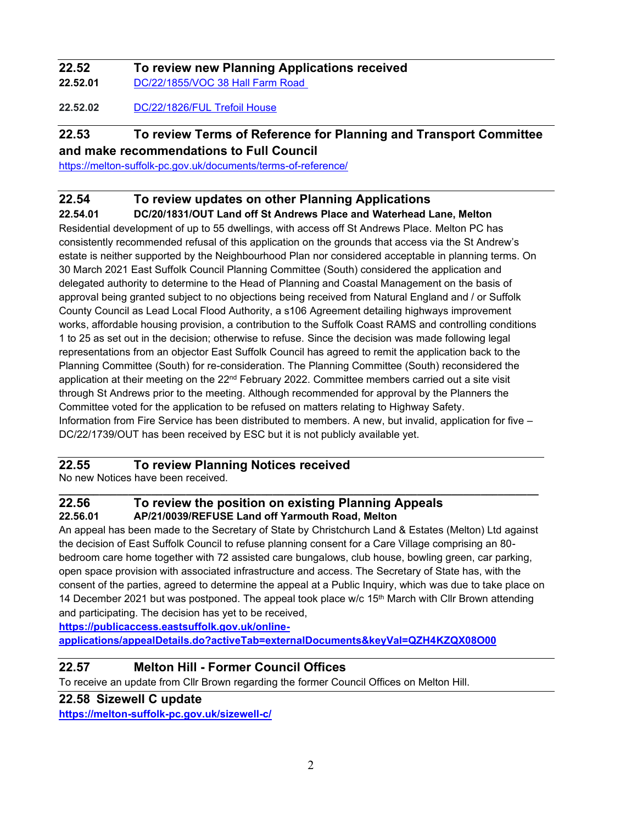## **22.52 To review new Planning Applications received**

**22.52.01** [DC/22/1855/VOC 38 Hall Farm Road](https://publicaccess.eastsuffolk.gov.uk/online-applications/applicationDetails.do?activeTab=summary&keyVal=RBEMBFQXKUC00)

**22.52.02** [DC/22/1826/FUL Trefoil House](https://publicaccess.eastsuffolk.gov.uk/online-applications/applicationDetails.do?activeTab=summary&keyVal=RBCX64QXKSL00)

### **22.53 To review Terms of Reference for Planning and Transport Committee**

**and make recommendations to Full Council**

<https://melton-suffolk-pc.gov.uk/documents/terms-of-reference/>

#### **22.54 To review updates on other Planning Applications**

**22.54.01 DC/20/1831/OUT Land off St Andrews Place and Waterhead Lane, Melton**

Residential development of up to 55 dwellings, with access off St Andrews Place. Melton PC has consistently recommended refusal of this application on the grounds that access via the St Andrew's estate is neither supported by the Neighbourhood Plan nor considered acceptable in planning terms. On 30 March 2021 East Suffolk Council Planning Committee (South) considered the application and delegated authority to determine to the Head of Planning and Coastal Management on the basis of approval being granted subject to no objections being received from Natural England and / or Suffolk County Council as Lead Local Flood Authority, a s106 Agreement detailing highways improvement works, affordable housing provision, a contribution to the Suffolk Coast RAMS and controlling conditions 1 to 25 as set out in the decision; otherwise to refuse. Since the decision was made following legal representations from an objector East Suffolk Council has agreed to remit the application back to the Planning Committee (South) for re-consideration. The Planning Committee (South) reconsidered the application at their meeting on the  $22<sup>nd</sup>$  February 2022. Committee members carried out a site visit through St Andrews prior to the meeting. Although recommended for approval by the Planners the Committee voted for the application to be refused on matters relating to Highway Safety. Information from Fire Service has been distributed to members. A new, but invalid, application for five – DC/22/1739/OUT has been received by ESC but it is not publicly available yet.

#### **22.55 To review Planning Notices received**

No new Notices have been received.

#### **\_\_\_\_\_\_\_\_\_\_\_\_\_\_\_\_\_\_\_\_\_\_\_\_\_\_\_\_\_\_\_\_\_\_\_\_\_\_\_\_\_\_\_\_\_\_\_\_\_\_\_\_\_\_\_\_\_\_\_\_\_\_\_\_\_\_\_\_\_\_\_\_\_\_\_\_\_\_\_\_\_\_\_ 22.56 To review the position on existing Planning Appeals 22.56.01 AP/21/0039/REFUSE Land off Yarmouth Road, Melton**

An appeal has been made to the Secretary of State by Christchurch Land & Estates (Melton) Ltd against the decision of East Suffolk Council to refuse planning consent for a Care Village comprising an 80 bedroom care home together with 72 assisted care bungalows, club house, bowling green, car parking, open space provision with associated infrastructure and access. The Secretary of State has, with the consent of the parties, agreed to determine the appeal at a Public Inquiry, which was due to take place on 14 December 2021 but was postponed. The appeal took place w/c  $15<sup>th</sup>$  March with Cllr Brown attending and participating. The decision has yet to be received,

**[https://publicaccess.eastsuffolk.gov.uk/online-](https://publicaccess.eastsuffolk.gov.uk/online-applications/appealDetails.do?activeTab=externalDocuments&keyVal=QZH4KZQX08O00)**

**[applications/appealDetails.do?activeTab=externalDocuments&keyVal=QZH4KZQX08O00](https://publicaccess.eastsuffolk.gov.uk/online-applications/appealDetails.do?activeTab=externalDocuments&keyVal=QZH4KZQX08O00)**

#### **22.57 Melton Hill - Former Council Offices**

To receive an update from Cllr Brown regarding the former Council Offices on Melton Hill.

#### **22.58 Sizewell C update**

**<https://melton-suffolk-pc.gov.uk/sizewell-c/>**